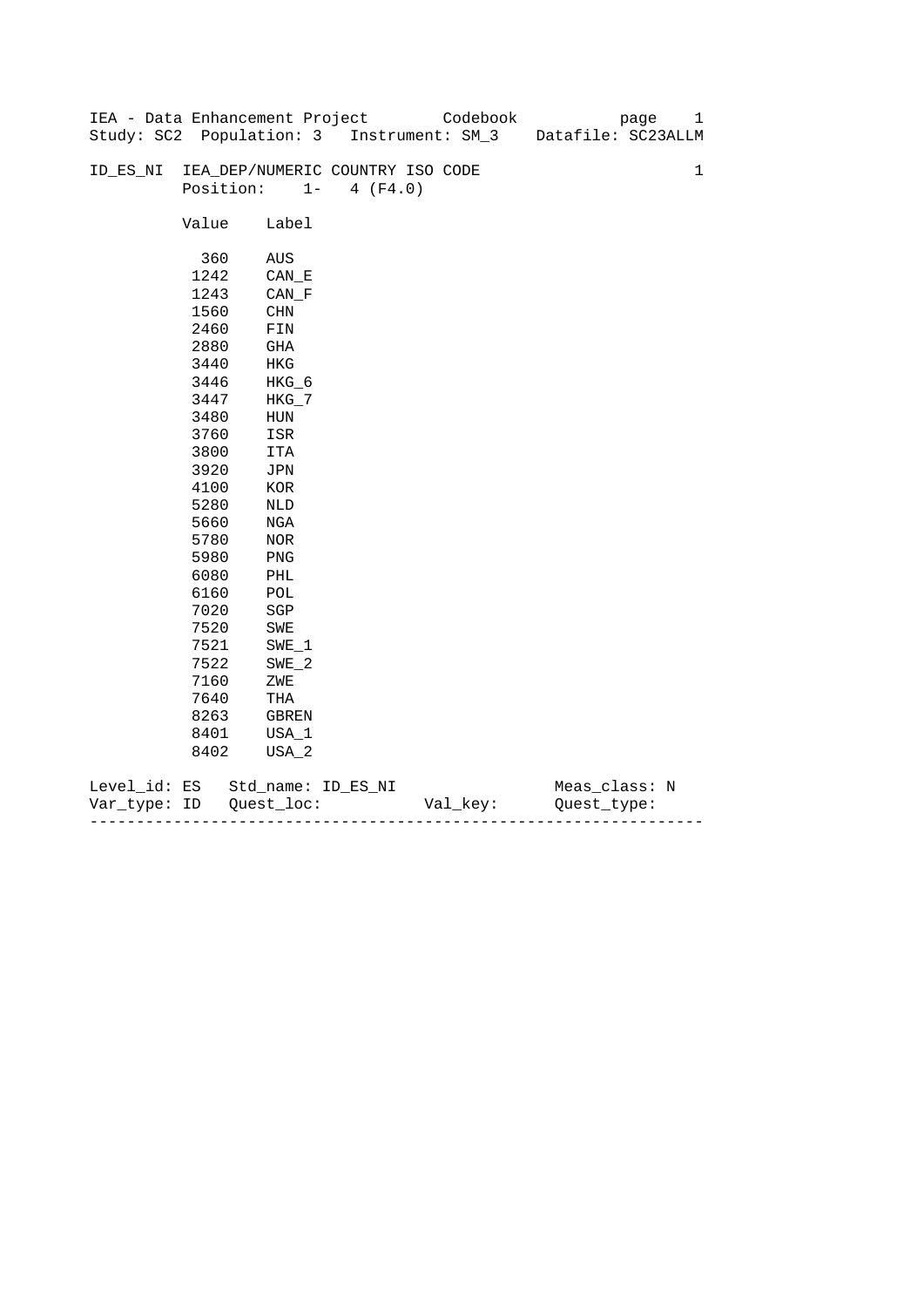|              |       | IEA - Data Enhancement Project   |                   | Codebook                                  | 1<br>page          |
|--------------|-------|----------------------------------|-------------------|-------------------------------------------|--------------------|
|              |       |                                  |                   | Study: SC2 Population: 3 Instrument: SM_3 | Datafile: SC23ALLM |
|              |       |                                  |                   |                                           |                    |
| ID_ES_NI     |       | IEA_DEP/NUMERIC COUNTRY ISO CODE |                   |                                           | $\mathbf 1$        |
|              |       | Position:                        | $1 -$<br>4 (F4.0) |                                           |                    |
|              |       |                                  |                   |                                           |                    |
|              | Value | Label                            |                   |                                           |                    |
|              |       |                                  |                   |                                           |                    |
|              | 360   | AUS                              |                   |                                           |                    |
|              | 1242  | $CAN$ <sub><math>E</math></sub>  |                   |                                           |                    |
|              | 1243  | CAN F                            |                   |                                           |                    |
|              | 1560  | CHN                              |                   |                                           |                    |
|              | 2460  | FIN                              |                   |                                           |                    |
|              | 2880  | GHA                              |                   |                                           |                    |
|              | 3440  | HKG                              |                   |                                           |                    |
|              | 3446  | HKG_6                            |                   |                                           |                    |
|              | 3447  | $HKG_7$                          |                   |                                           |                    |
|              | 3480  | HUN                              |                   |                                           |                    |
|              | 3760  | ISR                              |                   |                                           |                    |
|              | 3800  | ITA                              |                   |                                           |                    |
|              | 3920  | JPN                              |                   |                                           |                    |
|              | 4100  | KOR                              |                   |                                           |                    |
|              | 5280  | NLD                              |                   |                                           |                    |
|              | 5660  | NGA                              |                   |                                           |                    |
|              | 5780  | <b>NOR</b>                       |                   |                                           |                    |
|              | 5980  | PNG                              |                   |                                           |                    |
|              | 6080  | PHL                              |                   |                                           |                    |
|              | 6160  | $\mathop{\rm POL}\nolimits$      |                   |                                           |                    |
|              | 7020  | SGP                              |                   |                                           |                    |
|              | 7520  | SWE                              |                   |                                           |                    |
|              | 7521  | $SWE_1$                          |                   |                                           |                    |
|              | 7522  | $SWE_2$                          |                   |                                           |                    |
|              | 7160  | ZWE                              |                   |                                           |                    |
|              | 7640  | THA                              |                   |                                           |                    |
|              | 8263  | GBREN                            |                   |                                           |                    |
|              | 8401  | USA_1                            |                   |                                           |                    |
|              | 8402  | USA_2                            |                   |                                           |                    |
|              |       |                                  |                   |                                           |                    |
| Level_id: ES |       | Std_name: ID_ES_NI               |                   |                                           | Meas_class: N      |

| Var<br>тvpe.<br>. | TΡ | $ -$ | - |
|-------------------|----|------|---|
|                   |    |      |   |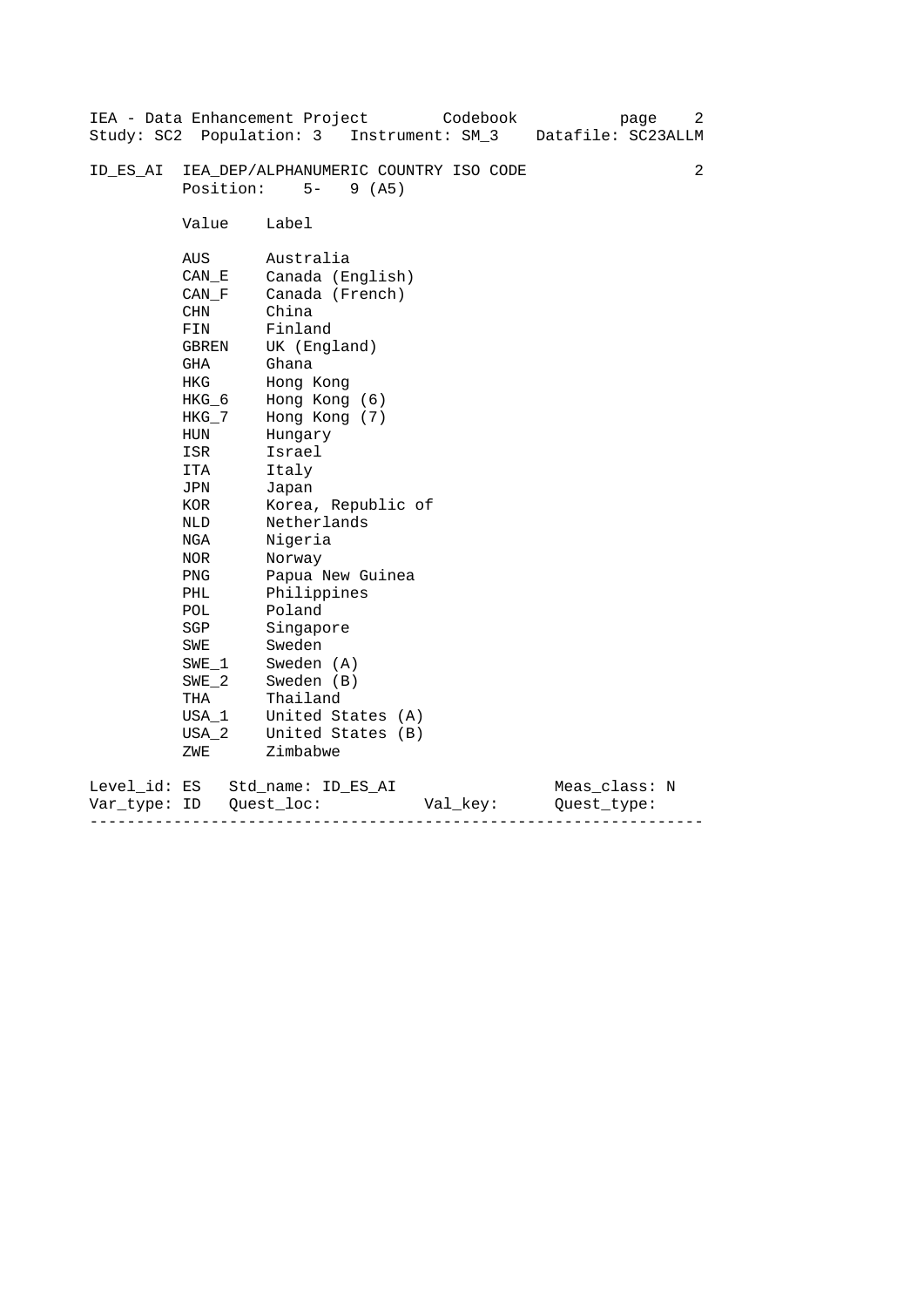|              |                            | IEA - Data Enhancement Project<br>Codebook | 2<br>page          |  |  |  |  |  |
|--------------|----------------------------|--------------------------------------------|--------------------|--|--|--|--|--|
|              |                            | Study: SC2 Population: 3 Instrument: SM_3  | Datafile: SC23ALLM |  |  |  |  |  |
| ID ES AI     |                            | IEA_DEP/ALPHANUMERIC COUNTRY ISO CODE      | 2                  |  |  |  |  |  |
|              | Position:<br>$5-$<br>9(AB) |                                            |                    |  |  |  |  |  |
|              | Value                      | Label                                      |                    |  |  |  |  |  |
|              | AUS                        | Australia                                  |                    |  |  |  |  |  |
|              | CAN E                      | Canada (English)                           |                    |  |  |  |  |  |
|              | CAN F                      | Canada (French)                            |                    |  |  |  |  |  |
|              | CHN                        | China                                      |                    |  |  |  |  |  |
|              | FIN                        | Finland                                    |                    |  |  |  |  |  |
|              | GBREN                      | UK (England)                               |                    |  |  |  |  |  |
|              | GHA                        | Ghana                                      |                    |  |  |  |  |  |
|              | HKG                        | Hong Kong                                  |                    |  |  |  |  |  |
|              | $HKG_6$                    | Hong Kong (6)                              |                    |  |  |  |  |  |
|              | HKG_7                      | Hong Kong (7)                              |                    |  |  |  |  |  |
|              | HUN                        | Hungary                                    |                    |  |  |  |  |  |
|              | ISR                        | Israel                                     |                    |  |  |  |  |  |
|              | ITA                        | Italy                                      |                    |  |  |  |  |  |
|              | JPN                        | Japan                                      |                    |  |  |  |  |  |
|              | KOR                        | Korea, Republic of                         |                    |  |  |  |  |  |
|              | NLD                        | Netherlands                                |                    |  |  |  |  |  |
|              | NGA                        | Nigeria                                    |                    |  |  |  |  |  |
|              | NOR                        | Norway                                     |                    |  |  |  |  |  |
|              | PNG                        | Papua New Guinea                           |                    |  |  |  |  |  |
|              | PHL                        | Philippines                                |                    |  |  |  |  |  |
|              | POL                        | Poland                                     |                    |  |  |  |  |  |
|              | SGP                        | Singapore                                  |                    |  |  |  |  |  |
|              | SWE                        | Sweden                                     |                    |  |  |  |  |  |
|              | $SWE_1$                    | Sweden (A)                                 |                    |  |  |  |  |  |
|              | $SWE_2$                    | Sweden (B)<br>Thailand                     |                    |  |  |  |  |  |
|              | THA<br>USA 1               | United States (A)                          |                    |  |  |  |  |  |
|              |                            |                                            |                    |  |  |  |  |  |
|              | USA 2                      | United States (B)<br>Zimbabwe              |                    |  |  |  |  |  |
|              | ZWE                        |                                            |                    |  |  |  |  |  |
| Level_id: ES |                            | Std name: ID ES AI                         | Meas_class: N      |  |  |  |  |  |
| Var type:    | ID                         | Quest loc:<br>Val_key:                     | Ouest type:        |  |  |  |  |  |

------------------------------------------------------------------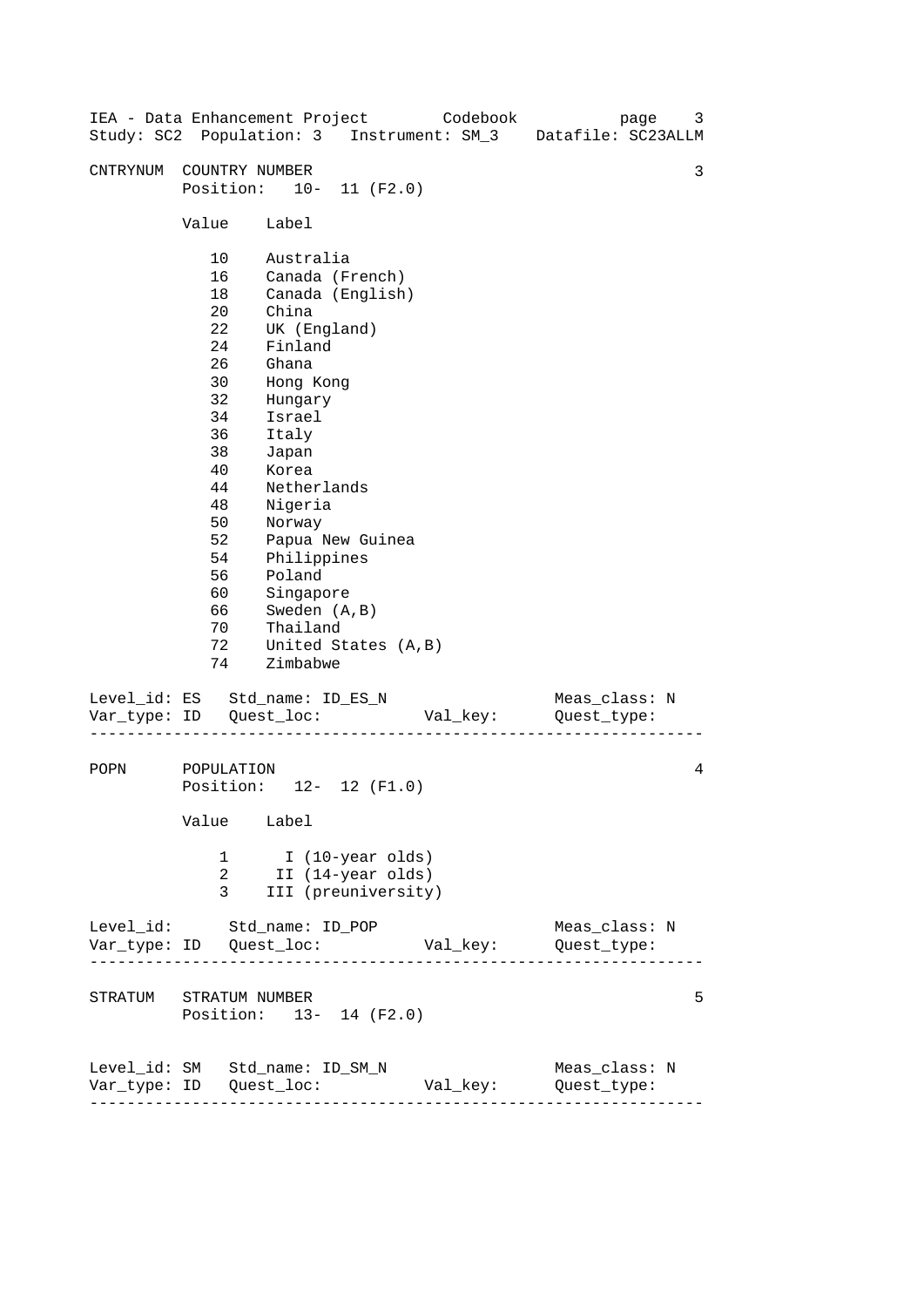| IEA - Data Enhancement Project Codebook |                                                                                                                            |                                                                                                                                                                                                                                                                                                        |  |  |  | Study: SC2 Population: 3 Instrument: SM_3 Datafile: SC23ALLM | page | 3 |
|-----------------------------------------|----------------------------------------------------------------------------------------------------------------------------|--------------------------------------------------------------------------------------------------------------------------------------------------------------------------------------------------------------------------------------------------------------------------------------------------------|--|--|--|--------------------------------------------------------------|------|---|
| CNTRYNUM COUNTRY NUMBER                 | Position: 10- 11 (F2.0)                                                                                                    |                                                                                                                                                                                                                                                                                                        |  |  |  |                                                              |      | 3 |
|                                         |                                                                                                                            |                                                                                                                                                                                                                                                                                                        |  |  |  |                                                              |      |   |
|                                         | 10<br>16<br>18<br>20<br>22<br>24<br>26<br>30<br>32<br>34<br>36<br>38<br>40<br>44<br>48<br>50<br>52<br>54<br>56<br>60<br>70 | Value Label<br>Australia<br>Canada (French)<br>Canada (English)<br>China<br>UK (England)<br>Finland<br>Ghana<br>Hong Kong<br>Hungary<br>Israel<br>Italy<br>Japan<br>Korea<br>Netherlands<br>Nigeria<br>Norway<br>Papua New Guinea<br>Philippines<br>Poland<br>Singapore<br>66 Sweden (A,B)<br>Thailand |  |  |  |                                                              |      |   |
|                                         | 72<br>74                                                                                                                   | United States (A,B)<br>Zimbabwe                                                                                                                                                                                                                                                                        |  |  |  |                                                              |      |   |
| Level_id: ES Std_name: ID_ES_N          |                                                                                                                            |                                                                                                                                                                                                                                                                                                        |  |  |  | Meas_class: N                                                |      |   |
| POPN                                    | POPULATION<br>Position: 12- 12 (F1.0)<br>Value Label                                                                       |                                                                                                                                                                                                                                                                                                        |  |  |  | 4                                                            |      |   |
|                                         | I (10-year olds)<br>1<br>2<br>II (14-year olds)<br>3<br>III (preuniversity)                                                |                                                                                                                                                                                                                                                                                                        |  |  |  |                                                              |      |   |
| Level_id: Std_name: ID_POP              |                                                                                                                            |                                                                                                                                                                                                                                                                                                        |  |  |  | Meas_class: N                                                |      |   |
|                                         | STRATUM STRATUM NUMBER<br>Position: 13- 14 (F2.0)                                                                          |                                                                                                                                                                                                                                                                                                        |  |  |  |                                                              | 5    |   |
| Level_id: SM Std_name: ID_SM_N          |                                                                                                                            |                                                                                                                                                                                                                                                                                                        |  |  |  | Meas_class: N<br>Val_key: Quest_type:                        |      |   |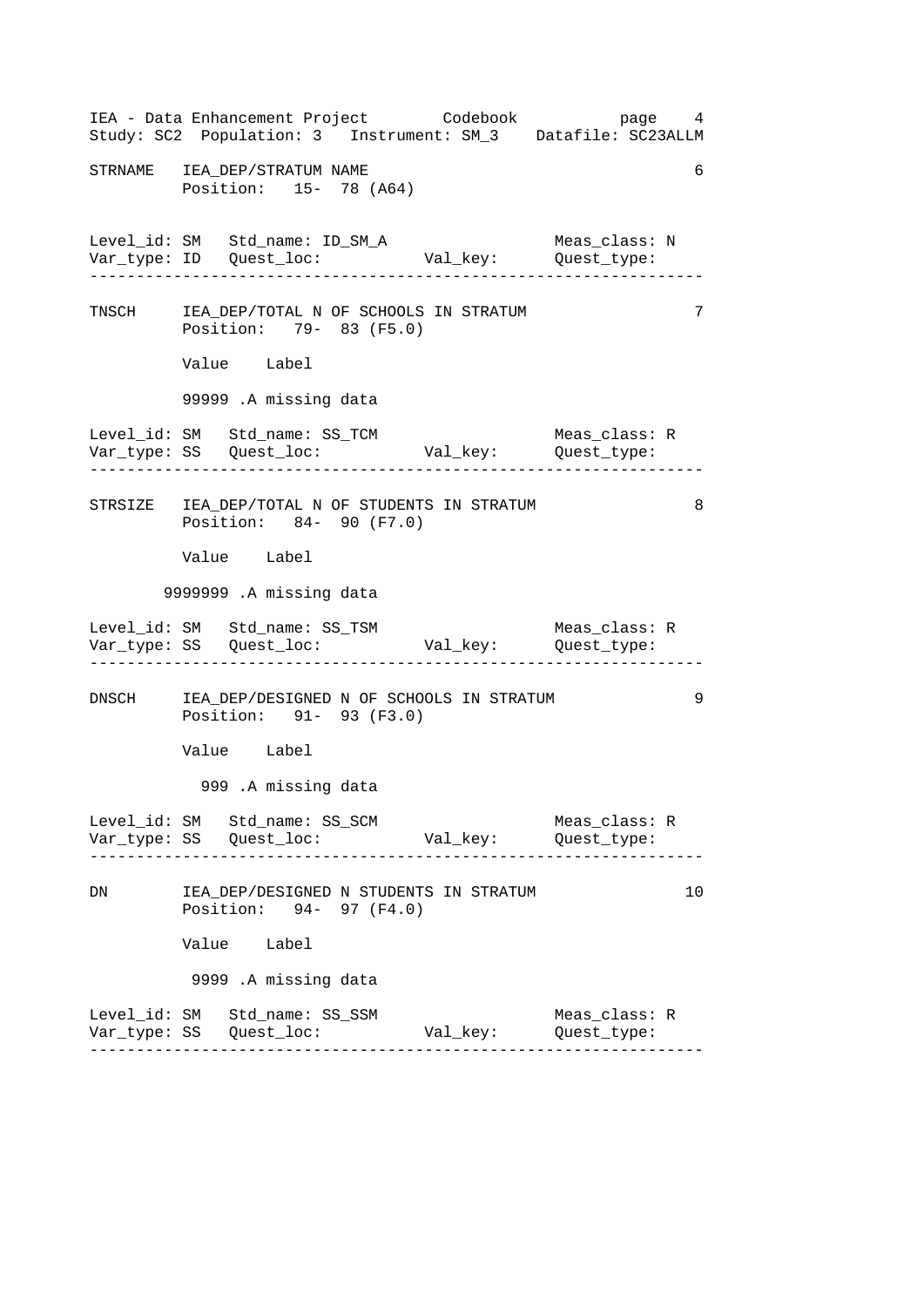------------------------------------------------------------------ ------------------------------------------------------------------ ------------------------------------------------------------------ ------------------------------------------------------------------ ------------------------------------------------------------------ IEA - Data Enhancement Project Codebook page 4 Study: SC2 Population: 3 Instrument: SM\_3 Datafile: SC23ALLM STRNAME IEA DEP/STRATUM NAME 6 Position: 15- 78 (A64) Level\_id: SM Std\_name: ID\_SM\_A Meas\_class: N Var\_type: ID Quest\_loc: Val\_key: Quest\_type: TNSCH IEA\_DEP/TOTAL N OF SCHOOLS IN STRATUM 7 Position: 79- 83 (F5.0) Value Label 99999 .A missing data Level\_id: SM Std\_name: SS\_TCM Meas\_class: R Var\_type: SS Quest\_loc: Val\_key: Quest\_type: STRSIZE IEA DEP/TOTAL N OF STUDENTS IN STRATUM 8 Position: 84- 90 (F7.0) Value Label 9999999 .A missing data Level\_id: SM Std\_name: SS\_TSM Meas\_class: R Var\_type: SS Quest\_loc: Val\_key: Quest\_type: DNSCH IEA\_DEP/DESIGNED N OF SCHOOLS IN STRATUM 9 Position: 91- 93 (F3.0) Value Label 999 .A missing data Level\_id: SM Std\_name: SS\_SCM Meas\_class: R Var\_type: SS Quest\_loc: Val\_key: Quest\_type: DN IEA\_DEP/DESIGNED N STUDENTS IN STRATUM 10 Position: 94- 97 (F4.0) Value Label 9999 .A missing data Level\_id: SM Std\_name: SS\_SSM Meas\_class: R Var\_type: SS Quest\_loc: Val\_key: Quest\_type: